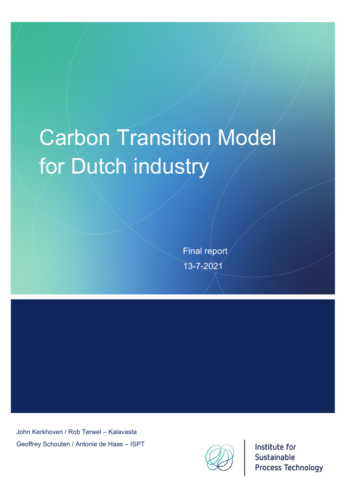# Carbon Transition Model for Dutch industry

Final report 13-7-2021

John Kerkhoven / Rob Terwel – Kalavasta Geoffrey Schouten / Antonie de Haas – ISPT



Institute for Sustainable **Process Technology**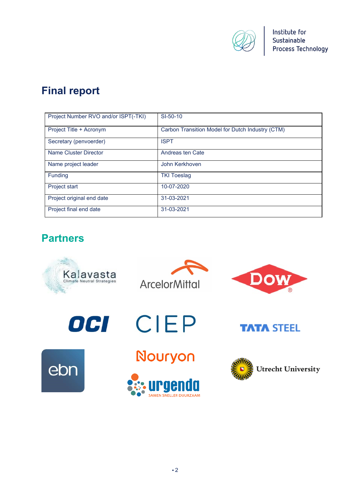

# **Final report**

| Project Number RVO and/or ISPT(-TKI) | SI-50-10                                         |
|--------------------------------------|--------------------------------------------------|
| Project Title + Acronym              | Carbon Transition Model for Dutch Industry (CTM) |
| Secretary (penvoerder)               | <b>ISPT</b>                                      |
| Name Cluster Director                | Andreas ten Cate                                 |
| Name project leader                  | John Kerkhoven                                   |
| Funding                              | <b>TKI Toeslag</b>                               |
| Project start                        | 10-07-2020                                       |
| Project original end date            | 31-03-2021                                       |
| Project final end date               | 31-03-2021                                       |

# **Partners**

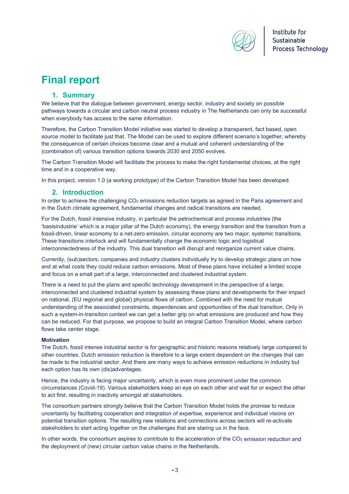

# **Final report**

# **1. Summary**

We believe that the dialogue between government, energy sector, industry and society on possible pathways towards a circular and carbon neutral process industry in The Netherlands can only be successful when everybody has access to the same information.

Therefore, the Carbon Transition Model initiative was started to develop a transparent, fact based, open source model to facilitate just that. The Model can be used to explore different scenario's together, whereby the consequence of certain choices become clear and a mutual and coherent understanding of the (combination of) various transition options towards 2030 and 2050 evolves.

The Carbon Transition Model will facilitate the process to make the right fundamental choices, at the right time and in a cooperative way.

In this project, version 1.0 (a working prototype) of the Carbon Transition Model has been developed.

#### **2. Introduction**

In order to achieve the challenging CO<sub>2</sub> emissions reduction targets as agreed in the Paris agreement and in the Dutch climate agreement, fundamental changes and radical transitions are needed.

For the Dutch, fossil intensive industry, in particular the petrochemical and process industries (the 'basisindustrie' which is a major pillar of the Dutch economy), the energy transition and the transition from a fossil-driven, linear economy to a net-zero emission, circular economy are two major, systemic transitions. These transitions interlock and will fundamentally change the economic logic and logistical interconnectedness of the industry. This dual transition will disrupt and reorganize current value chains.

Currently, (sub)sectors, companies and industry clusters individually try to develop strategic plans on how and at what costs they could reduce carbon emissions. Most of these plans have included a limited scope and focus on a small part of a large, interconnected and clustered industrial system.

There is a need to put the plans and specific technology development in the perspective of a large, interconnected and clustered industrial system by assessing these plans and developments for their impact on national, (EU regional and global) physical flows of carbon. Combined with the need for mutual understanding of the associated constraints, dependencies and opportunities of the dual transition. Only in such a system-in-transition context we can get a better grip on what emissions are produced and how they can be reduced. For that purpose, we propose to build an integral Carbon Transition Model, where carbon flows take center stage.

#### **Motivation**

The Dutch, fossil intense industrial sector is for geographic and historic reasons relatively large compared to other countries. Dutch emission reduction is therefore to a large extent dependent on the changes that can be made to the industrial sector. And there are many ways to achieve emission reductions in industry but each option has its own (dis)advantages.

Hence, the industry is facing major uncertainty, which is even more prominent under the common circumstances (Covid-19). Various stakeholders keep an eye on each other and wait for or expect the other to act first, resulting in inactivity amongst all stakeholders.

The consortium partners strongly believe that the Carbon Transition Model holds the promise to reduce uncertainty by facilitating cooperation and integration of expertise, experience and individual visions on potential transition options. The resulting new relations and connections across sectors will re-activate stakeholders to start acting together on the challenges that are staring us in the face.

In other words, the consortium aspires to contribute to the acceleration of the CO<sub>2</sub> emission reduction and the deployment of (new) circular carbon value chains in the Netherlands.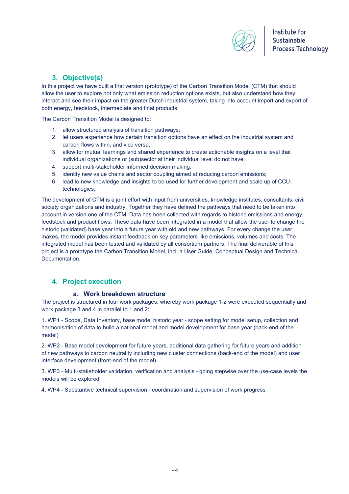

# **3. Objective(s)**

In this project we have built a first version (prototype) of the Carbon Transition Model (CTM) that should allow the user to explore not only what emission reduction options exists, but also understand how they interact and see their impact on the greater Dutch industrial system, taking into account import and export of both energy, feedstock, intermediate and final products.

The Carbon Transition Model is designed to:

- 1. allow structured analysis of transition pathways;
- 2. let users experience how certain transition options have an effect on the industrial system and carbon flows within, and vice versa;
- 3. allow for mutual learnings and shared experience to create actionable insights on a level that individual organizations or (sub)sector at their individual level do not have;
- 4. support multi-stakeholder informed decision making;
- 5. identify new value chains and sector coupling aimed at reducing carbon emissions;
- 6. lead to new knowledge and insights to be used for further development and scale up of CCUtechnologies;

The development of CTM is a joint effort with input from universities, knowledge institutes, consultants, civil society organizations and industry. Together they have defined the pathways that need to be taken into account in version one of the CTM. Data has been collected with regards to historic emissions and energy, feedstock and product flows. These data have been integrated in a model that allow the user to change the historic (validated) base year into a future year with old and new pathways. For every change the user makes, the model provides instant feedback on key parameters like emissions, volumes and costs. The integrated model has been tested and validated by all consortium partners. The final deliverable of this project is a prototype the Carbon Transition Model, incl. a User Guide, Conceptual Design and Technical Documentation.

# **4. Project execution**

#### **a. Work breakdown structure**

The project is structured in four work packages, whereby work package 1-2 were executed sequentially and work package 3 and 4 in parallel to 1 and 2:

1. WP1 - Scope, Data Inventory, base model historic year - scope setting for model setup, collection and harmonisation of data to build a national model and model development for base year (back-end of the model)

2. WP2 - Base model development for future years, additional data gathering for future years and addition of new pathways to carbon neutrality including new cluster connections (back-end of the model) and user interface development (front-end of the model)

3. WP3 - Multi-stakeholder validation, verification and analysis - going stepwise over the use-case levels the models will be explored

4. WP4 - Substantive technical supervision - coordination and supervision of work progress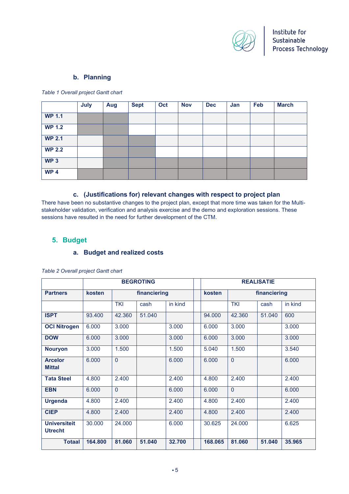

## **b. Planning**

*Table 1 Overall project Gantt chart*

|                 | July | Aug | <b>Sept</b> | Oct | <b>Nov</b> | <b>Dec</b> | Jan | Feb | <b>March</b> |
|-----------------|------|-----|-------------|-----|------------|------------|-----|-----|--------------|
| <b>WP 1.1</b>   |      |     |             |     |            |            |     |     |              |
| <b>WP 1.2</b>   |      |     |             |     |            |            |     |     |              |
| <b>WP 2.1</b>   |      |     |             |     |            |            |     |     |              |
| <b>WP 2.2</b>   |      |     |             |     |            |            |     |     |              |
| WP3             |      |     |             |     |            |            |     |     |              |
| WP <sub>4</sub> |      |     |             |     |            |            |     |     |              |

#### **c. (Justifications for) relevant changes with respect to project plan**

There have been no substantive changes to the project plan, except that more time was taken for the Multistakeholder validation, verification and analysis exercise and the demo and exploration sessions. These sessions have resulted in the need for further development of the CTM.

## **5. Budget**

#### **a. Budget and realized costs**

|                                       | <b>BEGROTING</b> |                |        |         | <b>REALISATIE</b> |                |        |         |  |
|---------------------------------------|------------------|----------------|--------|---------|-------------------|----------------|--------|---------|--|
| <b>Partners</b>                       | kosten           | financiering   |        |         | kosten            | financiering   |        |         |  |
|                                       |                  | <b>TKI</b>     | cash   | in kind |                   | <b>TKI</b>     | cash   | in kind |  |
| <b>ISPT</b>                           | 93.400           | 42.360         | 51.040 |         | 94.000            | 42.360         | 51.040 | 600     |  |
| <b>OCI Nitrogen</b>                   | 6.000            | 3.000          |        | 3.000   | 6.000             | 3.000          |        | 3.000   |  |
| <b>DOW</b>                            | 6.000            | 3.000          |        | 3.000   | 6.000             | 3.000          |        | 3.000   |  |
| <b>Nouryon</b>                        | 3.000            | 1.500          |        | 1.500   | 5.040             | 1.500          |        | 3.540   |  |
| <b>Arcelor</b><br><b>Mittal</b>       | 6.000            | $\Omega$       |        | 6.000   | 6.000             | $\overline{0}$ |        | 6.000   |  |
| <b>Tata Steel</b>                     | 4.800            | 2.400          |        | 2.400   | 4.800             | 2.400          |        | 2.400   |  |
| <b>EBN</b>                            | 6.000            | $\overline{0}$ |        | 6.000   | 6.000             | $\Omega$       |        | 6.000   |  |
| <b>Urgenda</b>                        | 4.800            | 2.400          |        | 2.400   | 4.800             | 2.400          |        | 2.400   |  |
| <b>CIEP</b>                           | 4.800            | 2.400          |        | 2.400   | 4.800             | 2.400          |        | 2.400   |  |
| <b>Universiteit</b><br><b>Utrecht</b> | 30.000           | 24.000         |        | 6.000   | 30.625            | 24.000         |        | 6.625   |  |
| <b>Totaal</b>                         | 164.800          | 81.060         | 51.040 | 32.700  | 168.065           | 81.060         | 51.040 | 35.965  |  |

*Table 2 Overall project Gantt chart*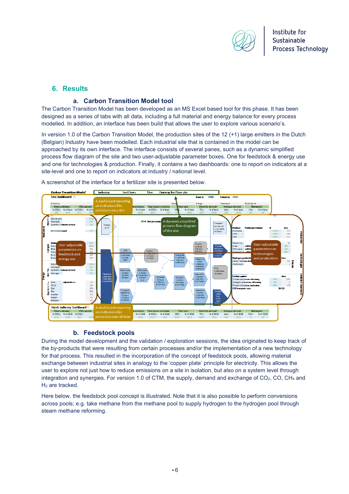

### **6. Results**

#### **a. Carbon Transition Model tool**

The Carbon Transition Model has been developed as an MS Excel based tool for this phase. It has been designed as a series of tabs with all data, including a full material and energy balance for every process modelled. In addition, an interface has been build that allows the user to explore various scenario's.

In version 1.0 of the Carbon Transition Model, the production sites of the 12 (+1) large emitters in the Dutch (Belgian) Industry have been modelled. Each industrial site that is contained in the model can be approached by its own interface. The interface consists of several panes, such as a dynamic simplified process flow diagram of the site and two user-adjustable parameter boxes. One for feedstock & energy use and one for technologies & production. Finally, it contains a two dashboards: one to report on indicators at a site-level and one to report on indicators at industry / national level.



A screenshot of the interface for a fertilizer site is presented below.

#### **b. Feedstock pools**

During the model development and the validation / exploration sessions, the idea originated to keep track of the by-products that were resulting from certain processes and/or the implementation of a new technology for that process. This resulted in the incorporation of the concept of feedstock pools, allowing material exchange between industrial sites in analogy to the 'copper plate' principle for electricity. This allows the user to explore not just how to reduce emissions on a site in isolation, but also on a system level through integration and synergies. For version 1.0 of CTM, the supply, demand and exchange of  $CO<sub>2</sub>$ , CO, CH<sub>4</sub> and H2 are tracked.

Here below, the feedstock pool concept is illustrated. Note that it is also possible to perform conversions across pools; e.g. take methane from the methane pool to supply hydrogen to the hydrogen pool through steam methane reforming.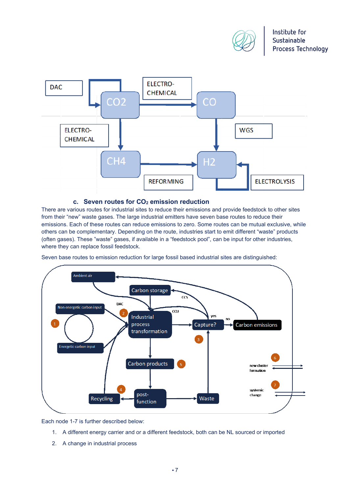



#### **c. Seven routes for CO2 emission reduction**

There are various routes for industrial sites to reduce their emissions and provide feedstock to other sites from their "new" waste gases. The large industrial emitters have seven base routes to reduce their emissions. Each of these routes can reduce emissions to zero. Some routes can be mutual exclusive, while others can be complementary. Depending on the route, industries start to emit different "waste" products (often gases). These "waste" gases, if available in a "feedstock pool", can be input for other industries, where they can replace fossil feedstock.

Seven base routes to emission reduction for large fossil based industrial sites are distinguished:



Each node 1-7 is further described below:

- 1. A different energy carrier and or a different feedstock, both can be NL sourced or imported
- 2. A change in industrial process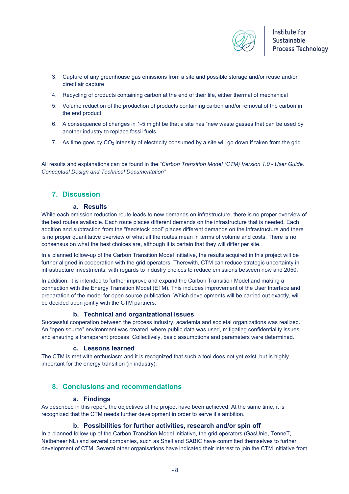

- 3. Capture of any greenhouse gas emissions from a site and possible storage and/or reuse and/or direct air capture
- 4. Recycling of products containing carbon at the end of their life, either thermal of mechanical
- 5. Volume reduction of the production of products containing carbon and/or removal of the carbon in the end product
- 6. A consequence of changes in 1-5 might be that a site has "new waste gasses that can be used by another industry to replace fossil fuels
- 7. As time goes by CO2 intensity of electricity consumed by a site will go down if taken from the grid

All results and explanations can be found in the *"Carbon Transition Model (CTM) Version 1.0 - User Guide, Conceptual Design and Technical Documentation"*

# **7. Discussion**

#### **a. Results**

While each emission reduction route leads to new demands on infrastructure, there is no proper overview of the best routes available. Each route places different demands on the infrastructure that is needed. Each addition and subtraction from the "feedstock pool" places different demands on the infrastructure and there is no proper quantitative overview of what all the routes mean in terms of volume and costs. There is no consensus on what the best choices are, although it is certain that they will differ per site.

In a planned follow-up of the Carbon Transition Model initiative, the results acquired in this project will be further aligned in cooperation with the grid operators. Therewith, CTM can reduce strategic uncertainty in infrastructure investments, with regards to industry choices to reduce emissions between now and 2050.

In addition, it is intended to further improve and expand the Carbon Transition Model and making a connection with the Energy Transition Model (ETM). This includes improvement of the User Interface and preparation of the model for open source publication. Which developments will be carried out exactly, will be decided upon jointly with the CTM partners.

#### **b. Technical and organizational issues**

Successful cooperation between the process industry, academia and societal organizations was realized. An "open source" environment was created, where public data was used, mitigating confidentiality issues and ensuring a transparent process. Collectively, basic assumptions and parameters were determined.

#### **c. Lessons learned**

The CTM is met with enthusiasm and it is recognized that such a tool does not yet exist, but is highly important for the energy transition (in industry).

# **8. Conclusions and recommendations**

#### **a. Findings**

As described in this report, the objectives of the project have been achieved. At the same time, it is recognized that the CTM needs further development in order to serve it's ambition.

#### **b. Possibilities for further activities, research and/or spin off**

In a planned follow-up of the Carbon Transition Model initiative, the grid operators (GasUnie, TenneT, Netbeheer NL) and several companies, such as Shell and SABIC have committed themselves to further development of CTM. Several other organisations have indicated their interest to join the CTM initiative from